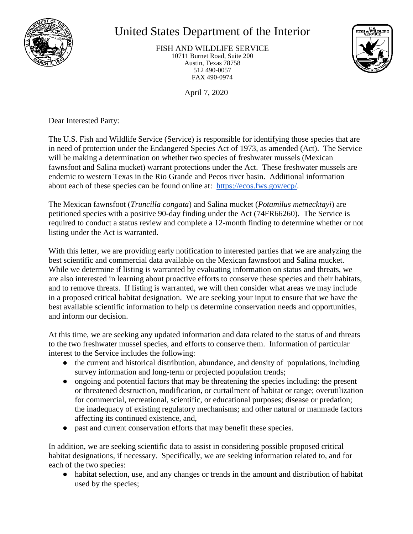

## United States Department of the Interior

FISH AND WILDLIFE SERVICE 10711 Burnet Road, Suite 200 Austin, Texas 78758 512 490-0057 FAX 490-0974



April 7, 2020

Dear Interested Party:

The U.S. Fish and Wildlife Service (Service) is responsible for identifying those species that are in need of protection under the Endangered Species Act of 1973, as amended (Act). The Service will be making a determination on whether two species of freshwater mussels (Mexican fawnsfoot and Salina mucket) warrant protections under the Act. These freshwater mussels are endemic to western Texas in the Rio Grande and Pecos river basin. Additional information about each of these species can be found online at: [https://ecos.fws.gov/ecp/.](https://ecos.fws.gov/ecp/)

The Mexican fawnsfoot (*Truncilla congata*) and Salina mucket (*Potamilus metnecktayi*) are petitioned species with a positive 90-day finding under the Act (74FR66260). The Service is required to conduct a status review and complete a 12-month finding to determine whether or not listing under the Act is warranted.

With this letter, we are providing early notification to interested parties that we are analyzing the best scientific and commercial data available on the Mexican fawnsfoot and Salina mucket. While we determine if listing is warranted by evaluating information on status and threats, we are also interested in learning about proactive efforts to conserve these species and their habitats, and to remove threats. If listing is warranted, we will then consider what areas we may include in a proposed critical habitat designation. We are seeking your input to ensure that we have the best available scientific information to help us determine conservation needs and opportunities, and inform our decision.

At this time, we are seeking any updated information and data related to the status of and threats to the two freshwater mussel species, and efforts to conserve them. Information of particular interest to the Service includes the following:

- the current and historical distribution, abundance, and density of populations, including survey information and long-term or projected population trends;
- ongoing and potential factors that may be threatening the species including: the present or threatened destruction, modification, or curtailment of habitat or range; overutilization for commercial, recreational, scientific, or educational purposes; disease or predation; the inadequacy of existing regulatory mechanisms; and other natural or manmade factors affecting its continued existence, and,
- past and current conservation efforts that may benefit these species.

In addition, we are seeking scientific data to assist in considering possible proposed critical habitat designations, if necessary. Specifically, we are seeking information related to, and for each of the two species:

• habitat selection, use, and any changes or trends in the amount and distribution of habitat used by the species;